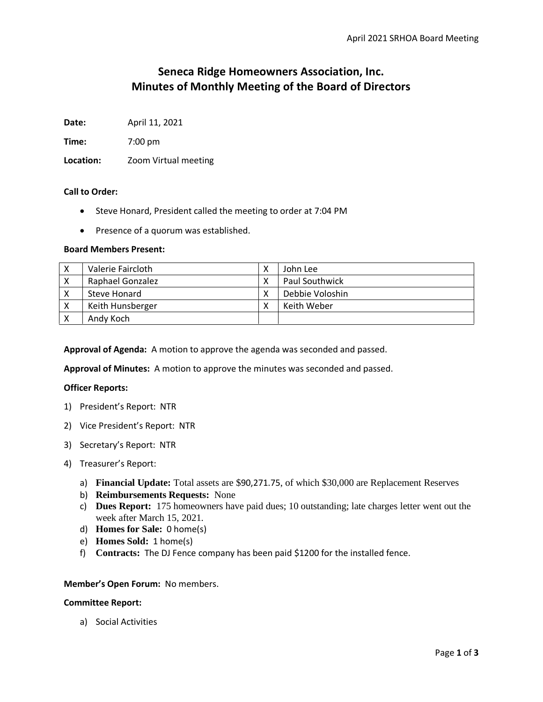# **Seneca Ridge Homeowners Association, Inc. Minutes of Monthly Meeting of the Board of Directors**

**Date:** April 11, 2021

**Time:** 7:00 pm

**Location:** Zoom Virtual meeting

## **Call to Order:**

- Steve Honard, President called the meeting to order at 7:04 PM
- Presence of a quorum was established.

## **Board Members Present:**

| X  | Valerie Faircloth | John Lee        |
|----|-------------------|-----------------|
|    | Raphael Gonzalez  | Paul Southwick  |
|    | Steve Honard      | Debbie Voloshin |
| -х | Keith Hunsberger  | Keith Weber     |
|    | Andy Koch         |                 |

**Approval of Agenda:** A motion to approve the agenda was seconded and passed.

**Approval of Minutes:** A motion to approve the minutes was seconded and passed.

## **Officer Reports:**

- 1) President's Report: NTR
- 2) Vice President's Report: NTR
- 3) Secretary's Report: NTR
- 4) Treasurer's Report:
	- a) **Financial Update:** Total assets are \$90,271.75, of which \$30,000 are Replacement Reserves
	- b) **Reimbursements Requests:** None
	- c) **Dues Report:** 175 homeowners have paid dues; 10 outstanding; late charges letter went out the week after March 15, 2021.
	- d) **Homes for Sale:** 0 home(s)
	- e) **Homes Sold:** 1 home(s)
	- f) **Contracts:** The DJ Fence company has been paid \$1200 for the installed fence.

### **Member's Open Forum:** No members.

#### **Committee Report:**

a) Social Activities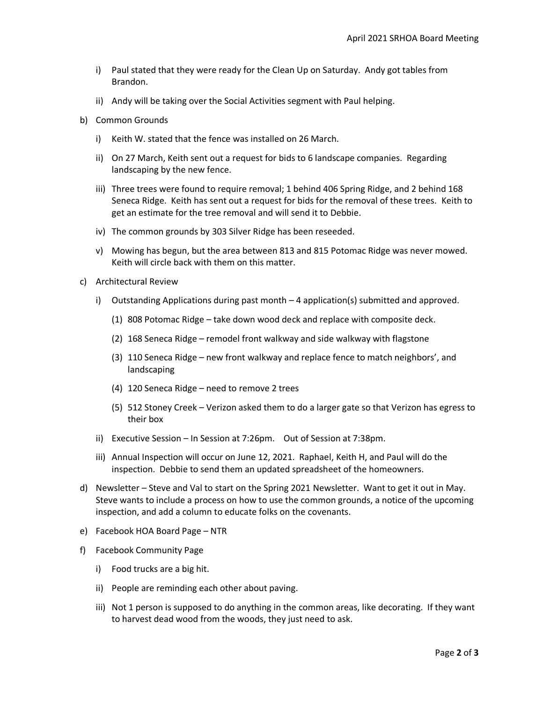- i) Paul stated that they were ready for the Clean Up on Saturday. Andy got tables from Brandon.
- ii) Andy will be taking over the Social Activities segment with Paul helping.
- b) Common Grounds
	- i) Keith W. stated that the fence was installed on 26 March.
	- ii) On 27 March, Keith sent out a request for bids to 6 landscape companies. Regarding landscaping by the new fence.
	- iii) Three trees were found to require removal; 1 behind 406 Spring Ridge, and 2 behind 168 Seneca Ridge. Keith has sent out a request for bids for the removal of these trees. Keith to get an estimate for the tree removal and will send it to Debbie.
	- iv) The common grounds by 303 Silver Ridge has been reseeded.
	- v) Mowing has begun, but the area between 813 and 815 Potomac Ridge was never mowed. Keith will circle back with them on this matter.
- c) Architectural Review
	- i) Outstanding Applications during past month 4 application(s) submitted and approved.
		- (1) 808 Potomac Ridge take down wood deck and replace with composite deck.
		- (2) 168 Seneca Ridge remodel front walkway and side walkway with flagstone
		- (3) 110 Seneca Ridge new front walkway and replace fence to match neighbors', and landscaping
		- (4) 120 Seneca Ridge need to remove 2 trees
		- (5) 512 Stoney Creek Verizon asked them to do a larger gate so that Verizon has egress to their box
	- ii) Executive Session In Session at 7:26pm. Out of Session at 7:38pm.
	- iii) Annual Inspection will occur on June 12, 2021. Raphael, Keith H, and Paul will do the inspection. Debbie to send them an updated spreadsheet of the homeowners.
- d) Newsletter Steve and Val to start on the Spring 2021 Newsletter. Want to get it out in May. Steve wants to include a process on how to use the common grounds, a notice of the upcoming inspection, and add a column to educate folks on the covenants.
- e) Facebook HOA Board Page NTR
- f) Facebook Community Page
	- i) Food trucks are a big hit.
	- ii) People are reminding each other about paving.
	- iii) Not 1 person is supposed to do anything in the common areas, like decorating. If they want to harvest dead wood from the woods, they just need to ask.